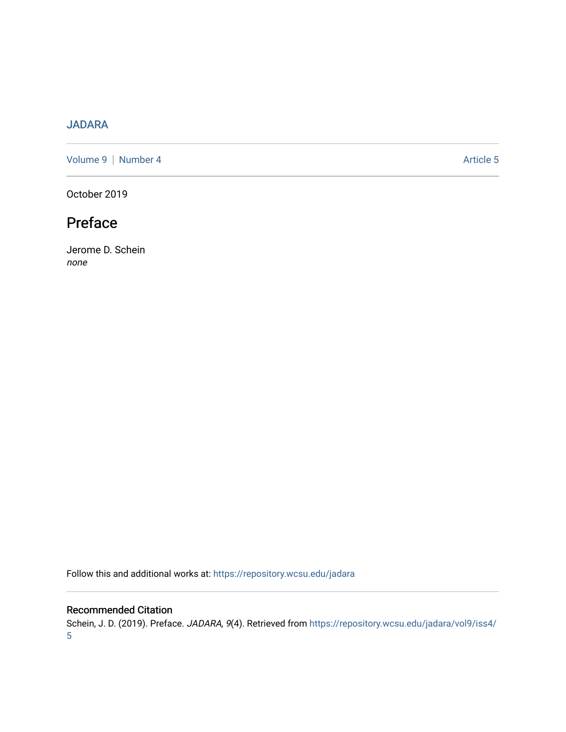# [JADARA](https://repository.wcsu.edu/jadara)

[Volume 9](https://repository.wcsu.edu/jadara/vol9) | [Number 4](https://repository.wcsu.edu/jadara/vol9/iss4) Article 5

October 2019

# Preface

Jerome D. Schein none

Follow this and additional works at: [https://repository.wcsu.edu/jadara](https://repository.wcsu.edu/jadara?utm_source=repository.wcsu.edu%2Fjadara%2Fvol9%2Fiss4%2F5&utm_medium=PDF&utm_campaign=PDFCoverPages)

### Recommended Citation

Schein, J. D. (2019). Preface. JADARA, 9(4). Retrieved from [https://repository.wcsu.edu/jadara/vol9/iss4/](https://repository.wcsu.edu/jadara/vol9/iss4/5?utm_source=repository.wcsu.edu%2Fjadara%2Fvol9%2Fiss4%2F5&utm_medium=PDF&utm_campaign=PDFCoverPages) [5](https://repository.wcsu.edu/jadara/vol9/iss4/5?utm_source=repository.wcsu.edu%2Fjadara%2Fvol9%2Fiss4%2F5&utm_medium=PDF&utm_campaign=PDFCoverPages)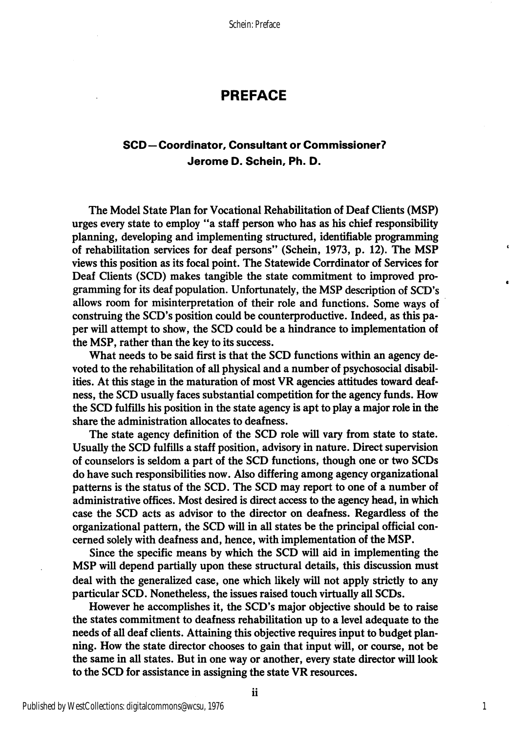Schein: Preface

## PREFACE

### SCD—Coordinator, Consultant or Commissioner? Jerome D. Schein, Ph. D.

The Model State Plan for Vocational Rehabilitation of Deaf Clients (MS?) urges every state to employ "a staff person who has as his chief responsibility planning, developing and implementing structured, identifiable programming of rehabilitation services for deaf persons" (Schein, 1973, p. 12). The MSP views this position as its focal point. The Statewide Corrdinator of Services for Deaf Clients (SCD) makes tangible the state commitment to improved pro gramming for its deaf population. Unfortunately, the MSP description of SCD's allows room for misinterpretation of their role and functions. Some ways of construing the SCD's position could be counterproductive. Indeed, as this pa per will attempt to show, the SCD could be a hindrance to implementation of the MSP, rather than the key to its success.

What needs to be said first is that the SCD functions within an agency de voted to the rehabilitation of all physical and a number of psychosocial disabil ities. At this stage in the maturation of most VR agencies attitudes toward deaf ness, the SCD usually faces substantial competition for the agency funds. How the SCD fulfills his position in the state agency is apt to play a major role in the share the administration allocates to deafness.

The state agency definition of the SCD role will vary from state to state. Usually the SCD fulfills a staff position, advisory in nature. Direct supervision of counselors is seldom a part of the SCD functions, though one or two SCDs do have such responsibilities now. Also differing among agency organizational patterns is the status of the SCD. The SCD may report to one of a number of administrative offices. Most desired is direct access to the agency head, in which case the SCD acts as advisor to the director on deafness. Regardless of the organizational pattern, the SCD will in all states be the principal official con cerned solely with deafness and, hence, with implementation of the MSP.

Since the specific means by which the SCD will aid in implementing the MSP will depend partially upon these structural details, this discussion must deal with the generalized case, one which likely will not apply strictly to any particular SCD. Nonetheless, the issues raised touch virtually all SCDs.

However he accomplishes it, the SCD's major objective should be to raise the states commitment to deafness rehabilitation up to a level adequate to the needs of all deaf clients. Attaining this objective requires input to budget plan ning. How the state director chooses to gain that input will, or course, not be the same in all states. But in one way or another, every state director will look to the SCD for assistance in assigning the state VR resources.

1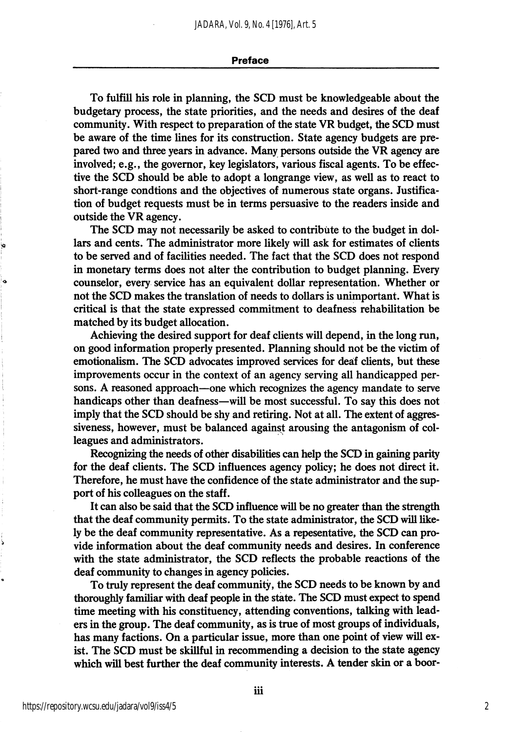#### Preface

To fulfill his role in planning, the SCD must be knowledgeable about the budgetary process, the state priorities, and the needs and desires of the deaf community. With respect to preparation of the state VR budget, the SCD must be aware of the time lines for its construction. State agency budgets are pre pared two and three years in advance. Many persons outside the VR agency are involved; e.g., the governor, key legislators, various fiscal agents. To be effec tive the SCD should be able to adopt a longrange view, as well as to react to short-range condtions and the objectives of numerous state organs. Justifica tion of budget requests must be in terms persuasive to the readers inside and outside the VR agency.

The SCD may not necessarily be asked to contribute to the budget in dol lars and cents. The administrator more likely will ask for estimates of clients to be served and of facilities needed. The fact that the SCD does not respond in monetary terms does not alter the contribution to budget planning. Every counselor, every service has an equivalent dollar representation. Whether or not the SCD makes the translation of needs to dollars is unimportant. What is critical is that the state expressed commitment to deafness rehabilitation be matched by its budget allocation.

Achieving the desired support for deaf clients will depend, in the long run, on good information properly presented. Planning should not be the victim of emotionalism. The SCD advocates improved services for deaf clients, but these improvements occur in the context of an agency serving all handicapped per sons. A reasoned approach—one which recognizes the agency mandate to serve handicaps other than deafness—will be most successful. To say this does not imply that the SCD should be shy and retiring. Not at all. The extent of aggres siveness, however, must be balanced against arousing the antagonism of col leagues and administrators.

Recognizing the needs of other disabilities can help the SCD in gaining parity for the deaf clients. The SCD influences agency policy; he does not direct it. Therefore, he must have the confidence of the state administrator and the sup port of his colleagues on the staff.

It can also be said that the SCD influence will be no greater than the strength that the deaf community permits. To the state administrator, the SCD will like ly be the deaf community representative. As a repesentative, the SCD can pro vide information about the deaf community needs and desires. In conference with the state administrator, the SCD reflects the probable reactions of the deaf community to changes in agency policies.

To truly represent the deaf community, the SCD needs to be known by and thoroughly familiar with deaf people in the state. The SCD must expect to spend time meeting with his constituency, attending conventions, talking with lead ers in the group. The deaf community, as is true of most groups of individuals, has many factions. On a particular issue, more than one point of view will ex ist. The SCD must be skillful in recommending a decision to the state agency which will best further the deaf community interests. A tender skin or a boor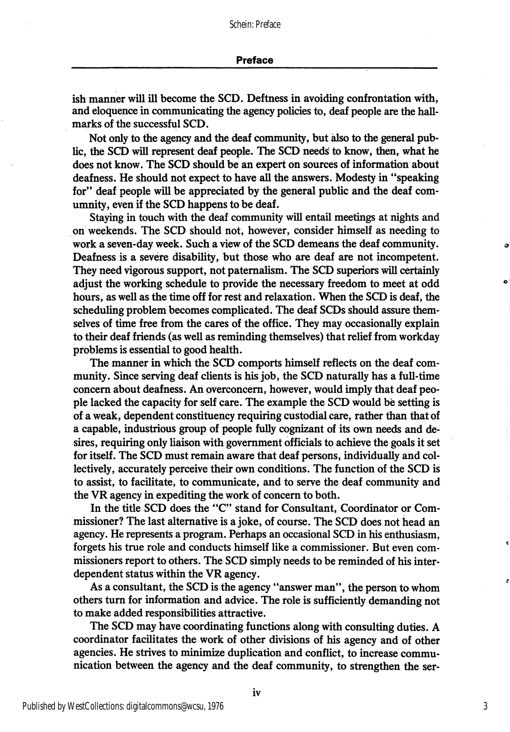ish manner will ill become the SCD. Deftness in avoiding confrontation with, and eloquence in communicating the agency policies to, deaf people are the hall marks of the successful SCD.

Not only to the agency and the deaf community, but also to the general pub lic, the SCD will represent deaf people. The SCD needs to know, then, what he does not know. The SCD should be an expert on sources of information about deafness. He should not expect to have all the answers. Modesty in "speaking for" deaf people will be appreciated by the general public and the deaf comumnity, even if the SCD happens to be deaf.

Staying in touch with the deaf community will entail meetings at nights and on weekends. The SCD should not, however, consider himself as needing to work a seven-day week. Such a view of the SCD demeans the deaf community. Deafness is a severe disability, but those who are deaf are not incompetent. They need vigorous support, not paternalism. The SCD superiors will certainly adjust the working schedule to provide the necessary freedom to meet at odd hours, as well as the time off for rest and relaxation. When the SCD is deaf, the scheduling problem becomes complicated. The deaf SCDs should assure them selves of time free from the cares of the office. They may occasionally explain to their deaf friends (as well as reminding themselves) that relief from workday problems is essential to good health.

The manner in which the SCD comports himself reflects on the deaf com munity. Since serving deaf clients is his job, the SCD naturally has a full-time concern about deafness. An pverconcem, however, would imply that deaf peo ple lacked the capacity for self care. The example the SCD would be setting is of a weak, dependent constituency requiring custodial care, rather than that of a capable, industrious group of people fully cognizant of its own needs and de sires, requiring only liaison with government officials to achieve the goals it set for itself. The SCD must remain aware that deaf persons, individually and col lectively, accurately perceive their own conditions. The function of the SCD is to assist, to facilitate, to communicate, and to serve the deaf community and the VR agency in expediting the work of concern to both.

In the title SCD does the "C" stand for Consultant, Coordinator or Com missioner? The last alternative is a joke, of course. The SCD does not head an agency. He represents a program. Perhaps an occasional SCD in his enthusiasm, forgets his true role and conducts himself like a commissioner. But even com missioners report to others. The SCD simply needs to be reminded of his inter dependent status within the VR agency.

As a consultant, the SCD is the agency "answer man", the person to whom others turn for information and advice. The role is sufficiently demanding not to make added responsibilities attractive.

The SCD may have coordinating functions along with consulting duties. A coordinator facilitates the work of other divisions of his agency and of other agencies. He strives to minimize duplication and conflict, to increase commu nication between the agency and the deaf community, to strengthen the ser-

3

ź.